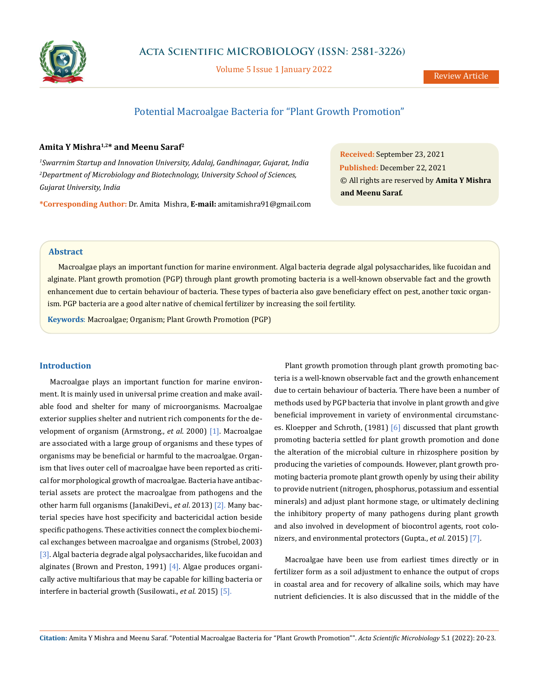

Volume 5 Issue 1 January 2022

# Potential Macroalgae Bacteria for "Plant Growth Promotion"

# **Amita Y Mishra1,2\* and Meenu Saraf2**

*1 Swarrnim Startup and Innovation University, Adalaj, Gandhinagar, Gujarat, India 2 Department of Microbiology and Biotechnology, University School of Sciences, Gujarat University, India*

**\*Corresponding Author:** Dr. Amita Mishra, **E-mail:** [amitamishra91@gmail.com](mailto:amitamishra91%40gmail.com?subject=)

**Received:** September 23, 2021 **Published:** December 22, 2021 © All rights are reserved by **Amita Y Mishra and Meenu Saraf***.*

# **Abstract**

Macroalgae plays an important function for marine environment. Algal bacteria degrade algal polysaccharides, like fucoidan and alginate. Plant growth promotion (PGP) through plant growth promoting bacteria is a well-known observable fact and the growth enhancement due to certain behaviour of bacteria. These types of bacteria also gave beneficiary effect on pest, another toxic organism. PGP bacteria are a good alter native of chemical fertilizer by increasing the soil fertility.

**Keywords**: Macroalgae; Organism; Plant Growth Promotion (PGP)

#### **Introduction**

Macroalgae plays an important function for marine environment. It is mainly used in universal prime creation and make available food and shelter for many of microorganisms. Macroalgae exterior supplies shelter and nutrient rich components for the development of organism (Armstrong., *et al*. 2000) [1]. Macroalgae are associated with a large group of organisms and these types of organisms may be beneficial or harmful to the macroalgae. Organism that lives outer cell of macroalgae have been reported as critical for morphological growth of macroalgae. Bacteria have antibacterial assets are protect the macroalgae from pathogens and the other harm full organisms (JanakiDevi., *et al*. 2013) [2]. Many bacterial species have host specificity and bactericidal action beside specific pathogens. These activities connect the complex biochemical exchanges between macroalgae and organisms (Strobel, 2003) [3]. Algal bacteria degrade algal polysaccharides, like fucoidan and alginates (Brown and Preston, 1991) [4]. Algae produces organically active multifarious that may be capable for killing bacteria or interfere in bacterial growth (Susilowati., *et al*. 2015) [5].

Plant growth promotion through plant growth promoting bacteria is a well-known observable fact and the growth enhancement due to certain behaviour of bacteria. There have been a number of methods used by PGP bacteria that involve in plant growth and give beneficial improvement in variety of environmental circumstances. Kloepper and Schroth, (1981) [6] discussed that plant growth promoting bacteria settled for plant growth promotion and done the alteration of the microbial culture in rhizosphere position by producing the varieties of compounds. However, plant growth promoting bacteria promote plant growth openly by using their ability to provide nutrient (nitrogen, phosphorus, potassium and essential minerals) and adjust plant hormone stage, or ultimately declining the inhibitory property of many pathogens during plant growth and also involved in development of biocontrol agents, root colonizers, and environmental protectors (Gupta., *et al*. 2015) [7].

Macroalgae have been use from earliest times directly or in fertilizer form as a soil adjustment to enhance the output of crops in coastal area and for recovery of alkaline soils, which may have nutrient deficiencies. It is also discussed that in the middle of the

**Citation:** Amita Y Mishra and Meenu Saraf*.* "Potential Macroalgae Bacteria for "Plant Growth Promotion"". *Acta Scientific Microbiology* 5.1 (2022): 20-23.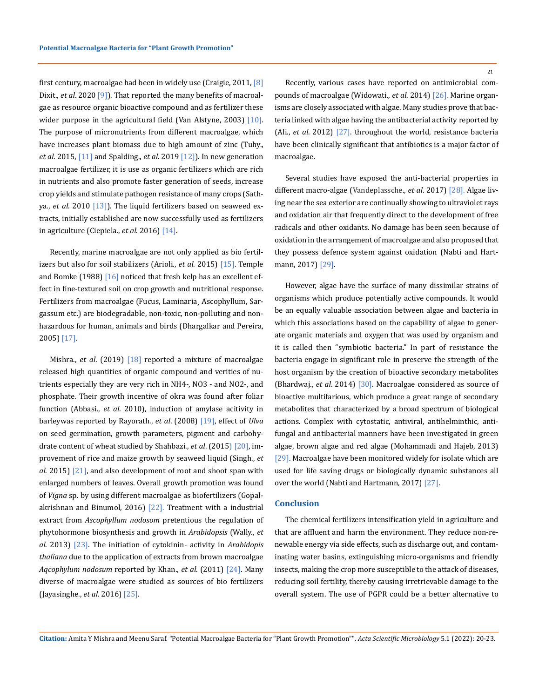first century, macroalgae had been in widely use (Craigie, 2011, [8] Dixit., *et al*. 2020 [9]). That reported the many benefits of macroalgae as resource organic bioactive compound and as fertilizer these wider purpose in the agricultural field (Van Alstyne, 2003) [10]. The purpose of micronutrients from different macroalgae, which have increases plant biomass due to high amount of zinc (Tuhy., *et al*. 2015, [11] and Spalding., *et al*. 2019 [12]). In new generation macroalgae fertilizer, it is use as organic fertilizers which are rich in nutrients and also promote faster generation of seeds, increase crop yields and stimulate pathogen resistance of many crops (Sathya., *et al*. 2010 [13]). The liquid fertilizers based on seaweed extracts, initially established are now successfully used as fertilizers in agriculture (Ciepiela., *et al*. 2016) [14].

Recently, marine macroalgae are not only applied as bio fertilizers but also for soil stabilizers (Arioli., *et al*. 2015) [15]. Temple and Bomke (1988) [16] noticed that fresh kelp has an excellent effect in fine-textured soil on crop growth and nutritional response. Fertilizers from macroalgae (Fucus, Laminaria¸ Ascophyllum, Sargassum etc.) are biodegradable, non-toxic, non-polluting and nonhazardous for human, animals and birds (Dhargalkar and Pereira, 2005) [17].

Mishra., *et al*. (2019) [18] reported a mixture of macroalgae released high quantities of organic compound and verities of nutrients especially they are very rich in NH4-, NO3 - and NO2-, and phosphate. Their growth incentive of okra was found after foliar function (Abbasi., *et al*. 2010), induction of amylase acitivity in barleywas reported by Rayorath., *et al*. (2008) [19], effect of *Ulva* on seed germination, growth parameters, pigment and carbohydrate content of wheat studied by Shahbazi., *et al*. (2015) [20], improvement of rice and maize growth by seaweed liquid (Singh., *et al*. 2015) [21], and also development of root and shoot span with enlarged numbers of leaves. Overall growth promotion was found of *Vigna* sp. by using different macroalgae as biofertilizers (Gopalakrishnan and Binumol, 2016)  $[22]$ . Treatment with a industrial extract from *Ascophyllum nodosom* pretentious the regulation of phytohormone biosynthesis and growth in *Arabidopsis* (Wally., *et al*. 2013) [23]. The initiation of cytokinin- activity in *Arabidopis thaliana* due to the application of extracts from brown macroalgae *Aqcophylum nodosum* reported by Khan., *et al*. (2011) [24]. Many diverse of macroalgae were studied as sources of bio fertilizers (Jayasinghe., *et al*. 2016) [25].

Recently, various cases have reported on antimicrobial compounds of macroalgae (Widowati., *et al*. 2014) [26]. Marine organisms are closely associated with algae. Many studies prove that bacteria linked with algae having the antibacterial activity reported by (Ali., *et al*. 2012) [27]. throughout the world, resistance bacteria have been clinically significant that antibiotics is a major factor of macroalgae.

Several studies have exposed the anti-bacterial properties in different macro-algae (Vandeplassche., *et al*. 2017) [28]. Algae living near the sea exterior are continually showing to ultraviolet rays and oxidation air that frequently direct to the development of free radicals and other oxidants. No damage has been seen because of oxidation in the arrangement of macroalgae and also proposed that they possess defence system against oxidation (Nabti and Hartmann, 2017) [29].

However, algae have the surface of many dissimilar strains of organisms which produce potentially active compounds. It would be an equally valuable association between algae and bacteria in which this associations based on the capability of algae to generate organic materials and oxygen that was used by organism and it is called then "symbiotic bacteria." In part of resistance the bacteria engage in significant role in preserve the strength of the host organism by the creation of bioactive secondary metabolites (Bhardwaj., *et al*. 2014) [30]. Macroalgae considered as source of bioactive multifarious, which produce a great range of secondary metabolites that characterized by a broad spectrum of biological actions. Complex with cytostatic, antiviral, antihelminthic, antifungal and antibacterial manners have been investigated in green algae, brown algae and red algae (Mohammadi and Hajeb, 2013) [29]. Macroalgae have been monitored widely for isolate which are used for life saving drugs or biologically dynamic substances all over the world (Nabti and Hartmann, 2017) [27].

### **Conclusion**

The chemical fertilizers intensification yield in agriculture and that are affluent and harm the environment. They reduce non-renewable energy via side effects, such as discharge out, and contaminating water basins, extinguishing micro-organisms and friendly insects, making the crop more susceptible to the attack of diseases, reducing soil fertility, thereby causing irretrievable damage to the overall system. The use of PGPR could be a better alternative to

**Citation:** Amita Y Mishra and Meenu Saraf*.* "Potential Macroalgae Bacteria for "Plant Growth Promotion"". *Acta Scientific Microbiology* 5.1 (2022): 20-23.

21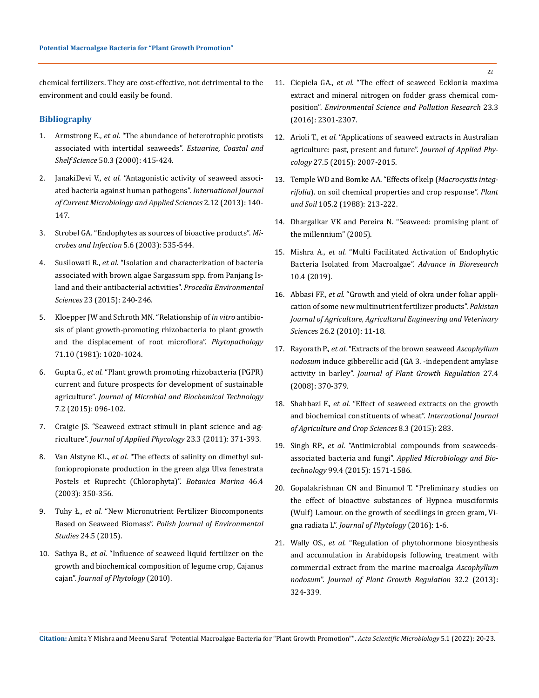chemical fertilizers. They are cost-effective, not detrimental to the environment and could easily be found.

# **Bibliography**

- 1. Armstrong E., *et al.* ["The abundance of heterotrophic protists](https://www.sciencedirect.com/science/article/abs/pii/S0272771499905772)  [associated with intertidal seaweeds".](https://www.sciencedirect.com/science/article/abs/pii/S0272771499905772) *Estuarine, Coastal and Shelf Science* [50.3 \(2000\): 415-424.](https://www.sciencedirect.com/science/article/abs/pii/S0272771499905772)
- 2. JanakiDevi V., *et al.* ["Antagonistic activity of seaweed associ](https://www.ijcmas.com/vol-2-12/V.JanakiDevi,%20et%20al.pdf)[ated bacteria against human pathogens".](https://www.ijcmas.com/vol-2-12/V.JanakiDevi,%20et%20al.pdf) *International Journal [of Current Microbiology and Applied Sciences](https://www.ijcmas.com/vol-2-12/V.JanakiDevi,%20et%20al.pdf)* 2.12 (2013): 140- [147.](https://www.ijcmas.com/vol-2-12/V.JanakiDevi,%20et%20al.pdf)
- 3. [Strobel GA. "Endophytes as sources of bioactive products".](https://pubmed.ncbi.nlm.nih.gov/12758283/) *Mi[crobes and Infection](https://pubmed.ncbi.nlm.nih.gov/12758283/)* 5.6 (2003): 535-544.
- 4. Susilowati R., *et al.* ["Isolation and characterization of bacteria](https://www.sciencedirect.com/science/article/pii/S1878029615000377)  [associated with brown algae Sargassum spp. from Panjang Is](https://www.sciencedirect.com/science/article/pii/S1878029615000377)[land and their antibacterial activities".](https://www.sciencedirect.com/science/article/pii/S1878029615000377) *Procedia Environmental Sciences* [23 \(2015\): 240-246.](https://www.sciencedirect.com/science/article/pii/S1878029615000377)
- 5. [Kloepper JW and Schroth MN. "Relationship of](https://www.apsnet.org/publications/phytopathology/backissues/Documents/1981Abstracts/Phyto71_1020.htm) *in vitro* antibio[sis of plant growth-promoting rhizobacteria to plant growth](https://www.apsnet.org/publications/phytopathology/backissues/Documents/1981Abstracts/Phyto71_1020.htm)  [and the displacement of root microflora".](https://www.apsnet.org/publications/phytopathology/backissues/Documents/1981Abstracts/Phyto71_1020.htm) *Phytopathology* [71.10 \(1981\): 1020-1024.](https://www.apsnet.org/publications/phytopathology/backissues/Documents/1981Abstracts/Phyto71_1020.htm)
- 6. Gupta G., *et al.* ["Plant growth promoting rhizobacteria \(PGPR\)](https://www.researchgate.net/publication/276440964_Plant_Growth_Promoting_Rhizobacteria_PGPR_Current_and_Future_Prospects_for_Development_of_Sustainable_Agriculture)  [current and future prospects for development of sustainable](https://www.researchgate.net/publication/276440964_Plant_Growth_Promoting_Rhizobacteria_PGPR_Current_and_Future_Prospects_for_Development_of_Sustainable_Agriculture)  agriculture". *[Journal of Microbial and Biochemical Technology](https://www.researchgate.net/publication/276440964_Plant_Growth_Promoting_Rhizobacteria_PGPR_Current_and_Future_Prospects_for_Development_of_Sustainable_Agriculture)*  [7.2 \(2015\): 096-102.](https://www.researchgate.net/publication/276440964_Plant_Growth_Promoting_Rhizobacteria_PGPR_Current_and_Future_Prospects_for_Development_of_Sustainable_Agriculture)
- 7. [Craigie JS. "Seaweed extract stimuli in plant science and ag](https://link.springer.com/article/10.1007/s10811-010-9560-4)riculture". *Journal of Applied Phycology* [23.3 \(2011\): 371-393.](https://link.springer.com/article/10.1007/s10811-010-9560-4)
- 8. Van Alstyne KL., *et al.* ["The effects of salinity on dimethyl sul](https://www.degruyter.com/document/doi/10.1515/BOT.2003.033/html)[foniopropionate production in the green alga Ulva fenestrata](https://www.degruyter.com/document/doi/10.1515/BOT.2003.033/html)  [Postels et Ruprecht \(Chlorophyta\)".](https://www.degruyter.com/document/doi/10.1515/BOT.2003.033/html) *Botanica Marina* 46.4 [\(2003\): 350-356.](https://www.degruyter.com/document/doi/10.1515/BOT.2003.033/html)
- 9. Tuhy Ł., *et al.* ["New Micronutrient Fertilizer Biocomponents](http://www.pjoes.com/New-Micronutrient-Fertilizer-Biocomponents-Based-on-Seaweed-Biomass,50721,0,2.html)  Based on Seaweed Biomass". *[Polish Journal of Environmental](http://www.pjoes.com/New-Micronutrient-Fertilizer-Biocomponents-Based-on-Seaweed-Biomass,50721,0,2.html)  Studies* [24.5 \(2015\).](http://www.pjoes.com/New-Micronutrient-Fertilizer-Biocomponents-Based-on-Seaweed-Biomass,50721,0,2.html)
- 10. Sathya B., *et al.* ["Influence of seaweed liquid fertilizer on the](https://www.researchgate.net/publication/348047920_Influence_of_Seaweed_Liquid_Fertilizer_on_the_Growth_and_Biochemical_Composition_of_Legume_Crop_Cajanus_cajan_L_Millsp)  [growth and biochemical composition of legume crop, Cajanus](https://www.researchgate.net/publication/348047920_Influence_of_Seaweed_Liquid_Fertilizer_on_the_Growth_and_Biochemical_Composition_of_Legume_Crop_Cajanus_cajan_L_Millsp)  cajan". *[Journal of Phytology](https://www.researchgate.net/publication/348047920_Influence_of_Seaweed_Liquid_Fertilizer_on_the_Growth_and_Biochemical_Composition_of_Legume_Crop_Cajanus_cajan_L_Millsp)* (2010).
- 11. Ciepiela GA., *et al.* ["The effect of seaweed Ecklonia maxima](https://pubmed.ncbi.nlm.nih.gov/26408121/) [extract and mineral nitrogen on fodder grass chemical com](https://pubmed.ncbi.nlm.nih.gov/26408121/)position". *[Environmental Science and Pollution Research](https://pubmed.ncbi.nlm.nih.gov/26408121/)* 23.3 [\(2016\): 2301-2307.](https://pubmed.ncbi.nlm.nih.gov/26408121/)
- 12. Arioli T., *et al.* ["Applications of seaweed extracts in Australian](https://link.springer.com/article/10.1007/s10811-015-0574-9) [agriculture: past, present and future".](https://link.springer.com/article/10.1007/s10811-015-0574-9) *Journal of Applied Phycology* [27.5 \(2015\): 2007-2015.](https://link.springer.com/article/10.1007/s10811-015-0574-9)
- 13. [Temple WD and Bomke AA. "Effects of kelp \(](https://link.springer.com/article/10.1007/BF02376785)*Macrocystis integrifolia*[\). on soil chemical properties and crop response".](https://link.springer.com/article/10.1007/BF02376785) *Plant and Soil* [105.2 \(1988\): 213-222.](https://link.springer.com/article/10.1007/BF02376785)
- 14. [Dhargalkar VK and Pereira N. "Seaweed: promising plant of](http://www.aquacase.org/other_information/docs/Seaweed%20-%20promising%20plant%20of%20the%20century.PDF) [the millennium" \(2005\).](http://www.aquacase.org/other_information/docs/Seaweed%20-%20promising%20plant%20of%20the%20century.PDF)
- 15. Mishra A., *et al.* ["Multi Facilitated Activation of Endophytic](https://www.researchgate.net/publication/349289742_Multi_Facilitated_Activation_of_Endophytic_Bacteria_Isolated_from_Macroalgae) [Bacteria Isolated from Macroalgae".](https://www.researchgate.net/publication/349289742_Multi_Facilitated_Activation_of_Endophytic_Bacteria_Isolated_from_Macroalgae) *Advance in Bioresearch* [10.4 \(2019\).](https://www.researchgate.net/publication/349289742_Multi_Facilitated_Activation_of_Endophytic_Bacteria_Isolated_from_Macroalgae)
- 16. Abbasi FF., *et al.* ["Growth and yield of okra under foliar appli](https://www.researchgate.net/publication/263505108_Growth_and_yield_of_okra_under_foliar_application_of_some_new_multinutrient_fertilizer_products)[cation of some new multinutrient fertilizer products".](https://www.researchgate.net/publication/263505108_Growth_and_yield_of_okra_under_foliar_application_of_some_new_multinutrient_fertilizer_products) *Pakistan [Journal of Agriculture, Agricultural Engineering and Veterinary](https://www.researchgate.net/publication/263505108_Growth_and_yield_of_okra_under_foliar_application_of_some_new_multinutrient_fertilizer_products) Science*[s 26.2 \(2010\): 11-18.](https://www.researchgate.net/publication/263505108_Growth_and_yield_of_okra_under_foliar_application_of_some_new_multinutrient_fertilizer_products)
- 17. Rayorath P., *et al.* "Extracts of the brown seaweed *Ascophyllum nodosum* induce gibberellic acid (GA 3. -independent amylase activity in barley". *Journal of Plant Growth Regulation* 27.4 (2008): 370-379.
- 18. Shahbazi F., *et al.* ["Effect of seaweed extracts on the growth](https://www.semanticscholar.org/paper/Effect-Of-Seaweed-Extracts-On-The-Growth-And-Of-Shahbazi-Seyyed/e6db0a6d3f47742fa15732cdca2bf10f42006d00) [and biochemical constituents of wheat".](https://www.semanticscholar.org/paper/Effect-Of-Seaweed-Extracts-On-The-Growth-And-Of-Shahbazi-Seyyed/e6db0a6d3f47742fa15732cdca2bf10f42006d00) *International Journal [of Agriculture and Crop Sciences](https://www.semanticscholar.org/paper/Effect-Of-Seaweed-Extracts-On-The-Growth-And-Of-Shahbazi-Seyyed/e6db0a6d3f47742fa15732cdca2bf10f42006d00)* 8.3 (2015): 283.
- 19. Singh RP., *et al.* ["Antimicrobial compounds from seaweeds](https://pubmed.ncbi.nlm.nih.gov/25549621/)associated bacteria and fungi". *[Applied Microbiology and Bio](https://pubmed.ncbi.nlm.nih.gov/25549621/)technology* [99.4 \(2015\): 1571-1586.](https://pubmed.ncbi.nlm.nih.gov/25549621/)
- 20. [Gopalakrishnan CN and Binumol T. "Preliminary studies on](https://www.researchgate.net/publication/293014370_Preliminary_studies_on_the_eff_ect_of_bioactive_substances_of_Hypnea_musciformis_Wulf_Lamour_on_the_growth_of_seedlings_in_green_gram_Vigna_radiata_L) [the effect of bioactive substances of Hypnea musciformis](https://www.researchgate.net/publication/293014370_Preliminary_studies_on_the_eff_ect_of_bioactive_substances_of_Hypnea_musciformis_Wulf_Lamour_on_the_growth_of_seedlings_in_green_gram_Vigna_radiata_L) [\(Wulf\) Lamour. on the growth of seedlings in green gram, Vi](https://www.researchgate.net/publication/293014370_Preliminary_studies_on_the_eff_ect_of_bioactive_substances_of_Hypnea_musciformis_Wulf_Lamour_on_the_growth_of_seedlings_in_green_gram_Vigna_radiata_L)gna radiata L". *[Journal of Phytology](https://www.researchgate.net/publication/293014370_Preliminary_studies_on_the_eff_ect_of_bioactive_substances_of_Hypnea_musciformis_Wulf_Lamour_on_the_growth_of_seedlings_in_green_gram_Vigna_radiata_L)* (2016): 1-6.
- 21. Wally OS., *et al.* ["Regulation of phytohormone biosynthesis](https://link.springer.com/article/10.1007/s00344-012-9301-9) [and accumulation in Arabidopsis following treatment with](https://link.springer.com/article/10.1007/s00344-012-9301-9) [commercial extract from the marine macroalga](https://link.springer.com/article/10.1007/s00344-012-9301-9) *Ascophyllum nodosum*". *[Journal of Plant Growth Regulation](https://link.springer.com/article/10.1007/s00344-012-9301-9)* 32.2 (2013): [324-339.](https://link.springer.com/article/10.1007/s00344-012-9301-9)

**Citation:** Amita Y Mishra and Meenu Saraf*.* "Potential Macroalgae Bacteria for "Plant Growth Promotion"". *Acta Scientific Microbiology* 5.1 (2022): 20-23.